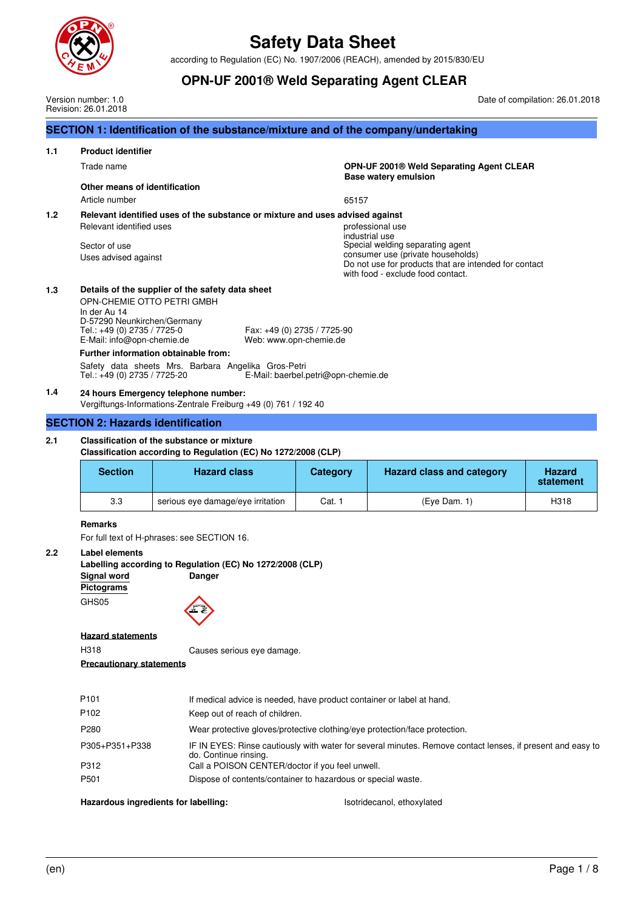

according to Regulation (EC) No. 1907/2006 (REACH), amended by 2015/830/EU

|     |                                                                                                                                                                                                                                                                                                                                                                                                                           | <b>OPN-UF 2001® Weld Separating Agent CLEAR</b>                                                         |                 |                                                                                                                                                                                                           |                                 |  |  |  |
|-----|---------------------------------------------------------------------------------------------------------------------------------------------------------------------------------------------------------------------------------------------------------------------------------------------------------------------------------------------------------------------------------------------------------------------------|---------------------------------------------------------------------------------------------------------|-----------------|-----------------------------------------------------------------------------------------------------------------------------------------------------------------------------------------------------------|---------------------------------|--|--|--|
|     | Version number: 1.0<br>Revision: 26.01.2018                                                                                                                                                                                                                                                                                                                                                                               |                                                                                                         |                 |                                                                                                                                                                                                           | Date of compilation: 26.01.2018 |  |  |  |
|     |                                                                                                                                                                                                                                                                                                                                                                                                                           | SECTION 1: Identification of the substance/mixture and of the company/undertaking                       |                 |                                                                                                                                                                                                           |                                 |  |  |  |
| 1.1 | <b>Product identifier</b>                                                                                                                                                                                                                                                                                                                                                                                                 |                                                                                                         |                 |                                                                                                                                                                                                           |                                 |  |  |  |
|     | Trade name                                                                                                                                                                                                                                                                                                                                                                                                                |                                                                                                         |                 | OPN-UF 2001® Weld Separating Agent CLEAR<br><b>Base watery emulsion</b>                                                                                                                                   |                                 |  |  |  |
|     | Other means of identification                                                                                                                                                                                                                                                                                                                                                                                             |                                                                                                         |                 |                                                                                                                                                                                                           |                                 |  |  |  |
|     | Article number                                                                                                                                                                                                                                                                                                                                                                                                            |                                                                                                         | 65157           |                                                                                                                                                                                                           |                                 |  |  |  |
| 1.2 | Relevant identified uses<br>Sector of use<br>Uses advised against                                                                                                                                                                                                                                                                                                                                                         | Relevant identified uses of the substance or mixture and uses advised against                           |                 | professional use<br>industrial use<br>Special welding separating agent<br>consumer use (private households)<br>Do not use for products that are intended for contact<br>with food - exclude food contact. |                                 |  |  |  |
| 1.3 | Details of the supplier of the safety data sheet<br>OPN-CHEMIE OTTO PETRI GMBH<br>In der Au 14<br>D-57290 Neunkirchen/Germany<br>Tel.: +49 (0) 2735 / 7725-0<br>Fax: +49 (0) 2735 / 7725-90<br>E-Mail: info@opn-chemie.de<br>Web: www.opn-chemie.de<br>Further information obtainable from:<br>Safety data sheets Mrs. Barbara Angelika Gros-Petri<br>E-Mail: baerbel.petri@opn-chemie.de<br>Tel.: +49 (0) 2735 / 7725-20 |                                                                                                         |                 |                                                                                                                                                                                                           |                                 |  |  |  |
| 1.4 |                                                                                                                                                                                                                                                                                                                                                                                                                           | 24 hours Emergency telephone number:<br>Vergiftungs-Informations-Zentrale Freiburg +49 (0) 761 / 192 40 |                 |                                                                                                                                                                                                           |                                 |  |  |  |
|     | <b>SECTION 2: Hazards identification</b>                                                                                                                                                                                                                                                                                                                                                                                  |                                                                                                         |                 |                                                                                                                                                                                                           |                                 |  |  |  |
| 2.1 | Classification of the substance or mixture<br>Classification according to Regulation (EC) No 1272/2008 (CLP)                                                                                                                                                                                                                                                                                                              |                                                                                                         |                 |                                                                                                                                                                                                           |                                 |  |  |  |
|     | <b>Section</b>                                                                                                                                                                                                                                                                                                                                                                                                            | <b>Hazard class</b>                                                                                     | <b>Category</b> | <b>Hazard class and category</b>                                                                                                                                                                          | <b>Hazard</b><br>statement      |  |  |  |
|     | 3.3                                                                                                                                                                                                                                                                                                                                                                                                                       | serious eye damage/eye irritation                                                                       | Cat. 1          | $(Eye$ Dam. 1)                                                                                                                                                                                            | H318                            |  |  |  |
| 2.2 | <b>Remarks</b><br>For full text of H-phrases: see SECTION 16.<br>Label elements                                                                                                                                                                                                                                                                                                                                           |                                                                                                         |                 |                                                                                                                                                                                                           |                                 |  |  |  |
|     | <b>Signal word</b><br>Pictograms                                                                                                                                                                                                                                                                                                                                                                                          | Labelling according to Regulation (EC) No 1272/2008 (CLP)<br>Danger                                     |                 |                                                                                                                                                                                                           |                                 |  |  |  |
|     | GHS05                                                                                                                                                                                                                                                                                                                                                                                                                     |                                                                                                         |                 |                                                                                                                                                                                                           |                                 |  |  |  |
|     | <b>Hazard statements</b>                                                                                                                                                                                                                                                                                                                                                                                                  |                                                                                                         |                 |                                                                                                                                                                                                           |                                 |  |  |  |
|     | H318<br><b>Precautionary statements</b>                                                                                                                                                                                                                                                                                                                                                                                   | Causes serious eye damage.                                                                              |                 |                                                                                                                                                                                                           |                                 |  |  |  |
|     | P101                                                                                                                                                                                                                                                                                                                                                                                                                      | If medical advice is needed, have product container or label at hand.                                   |                 |                                                                                                                                                                                                           |                                 |  |  |  |
|     | P102                                                                                                                                                                                                                                                                                                                                                                                                                      | Keep out of reach of children.                                                                          |                 |                                                                                                                                                                                                           |                                 |  |  |  |

| P280             | Wear protective gloves/protective clothing/eye protection/face protection.                                                          |
|------------------|-------------------------------------------------------------------------------------------------------------------------------------|
| P305+P351+P338   | IF IN EYES: Rinse cautiously with water for several minutes. Remove contact lenses, if present and easy to<br>do. Continue rinsing. |
| P312             | Call a POISON CENTER/doctor if you feel unwell.                                                                                     |
| P <sub>501</sub> | Dispose of contents/container to hazardous or special waste.                                                                        |

## Hazardous ingredients for labelling: **Interpretental and Solution Control** Isotridecanol, ethoxylated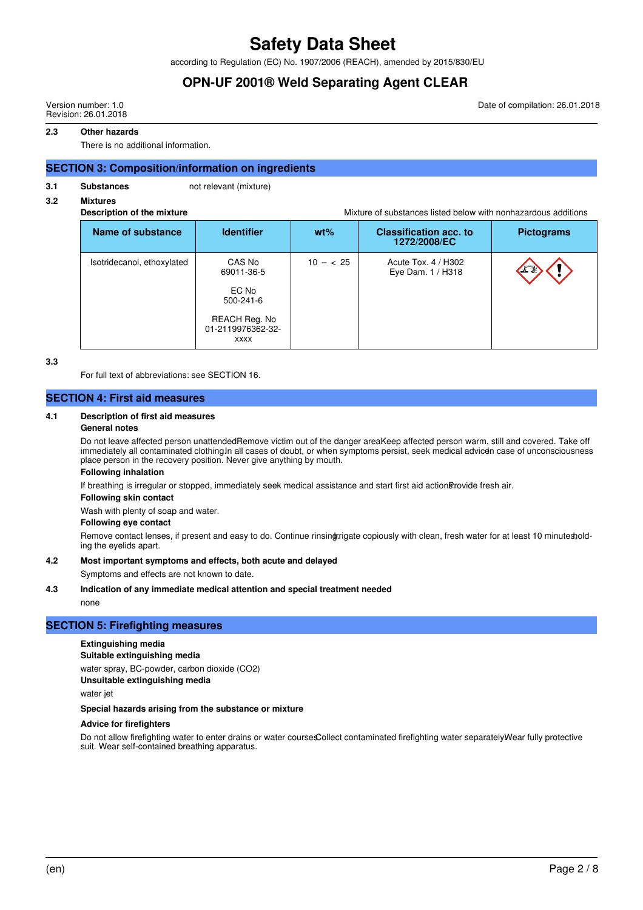according to Regulation (EC) No. 1907/2006 (REACH), amended by 2015/830/EU

## **OPN-UF 2001® Weld Separating Agent CLEAR**

Version number: 1.0 Revision: 26.01.2018 Date of compilation: 26.01.2018

#### **2.3 Other hazards**

There is no additional information.

#### **SECTION 3: Composition/information on ingredients**

**3.1** Substances not relevant (mixture)

## **3.2 Mixtures**

**Description of the mixture** Mixture of substances listed below with nonhazardous additions

|                            |                                                                                                       | ייייישע שטטא שאווויטווייז זיינו ווייוויונו וויינו וויינו וויינו וויינו וויינו וויינו וויינו וויינו וויינו ווי |                                               |                   |  |
|----------------------------|-------------------------------------------------------------------------------------------------------|---------------------------------------------------------------------------------------------------------------|-----------------------------------------------|-------------------|--|
| Name of substance          | <b>Identifier</b>                                                                                     | $wt\%$                                                                                                        | <b>Classification acc. to</b><br>1272/2008/EC | <b>Pictograms</b> |  |
| Isotridecanol, ethoxylated | CAS No<br>69011-36-5<br>EC No<br>$500 - 241 - 6$<br>REACH Reg. No<br>01-2119976362-32-<br><b>XXXX</b> | $10 - < 25$                                                                                                   | Acute Tox. 4 / H302<br>Eye Dam. 1 / H318      | へきと               |  |

**3.3**

For full text of abbreviations: see SECTION 16.

#### **SECTION 4: First aid measures**

#### **4.1 Description of first aid measures**

#### **General notes**

Do not leave affected person unattendedRemove victim out of the danger areaKeep affected person warm, still and covered. Take off immediately all contaminated clothing.In all cases of doubt, or when symptoms persist, seek medical advicen case of unconsciousness place person in the recovery position. Never give anything by mouth.

#### **Following inhalation**

If breathing is irregular or stopped, immediately seek medical assistance and start first aid action Brovide fresh air.

#### **Following skin contact**

Wash with plenty of soap and water.

#### **Following eye contact**

Remove contact lenses, if present and easy to do. Continue rinsingrrigate copiously with clean, fresh water for at least 10 minutes, olding the eyelids apart.

#### **4.2 Most important symptoms and effects, both acute and delayed**

Symptoms and effects are not known to date.

#### **4.3 Indication of any immediate medical attention and special treatment needed**

none

## **SECTION 5: Firefighting measures**

## **Extinguishing media**

## **Suitable extinguishing media**

water spray, BC-powder, carbon dioxide (CO2)

**Unsuitable extinguishing media**

water jet

#### **Special hazards arising from the substance or mixture**

#### **Advice for firefighters**

Do not allow firefighting water to enter drains or water coursesCollect contaminated firefighting water separately Wear fully protective suit. Wear self-contained breathing apparatus.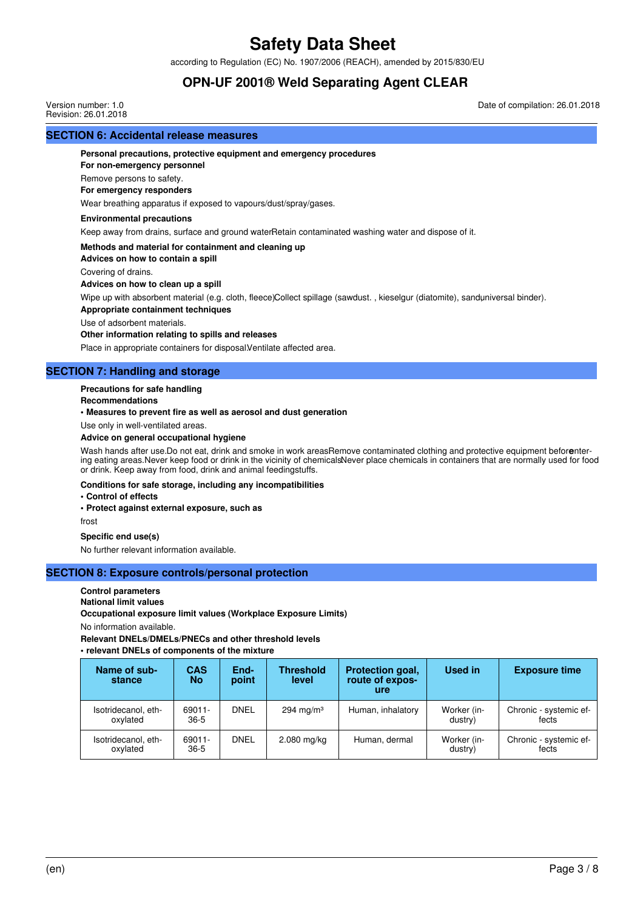according to Regulation (EC) No. 1907/2006 (REACH), amended by 2015/830/EU

## **OPN-UF 2001® Weld Separating Agent CLEAR**

**SECTION 6: Accidental release measures** Version number: 1.0 Revision: 26.01.2018 Date of compilation: 26.01.2018

## **Personal precautions, protective equipment and emergency procedures**

**For non-emergency personnel**

Remove persons to safety.

### **For emergency responders**

Wear breathing apparatus if exposed to vapours/dust/spray/gases.

### **Environmental precautions**

Keep away from drains, surface and ground waterRetain contaminated washing water and dispose of it.

### **Methods and material for containment and cleaning up**

**Advices on how to contain a spill**

Covering of drains.

#### **Advices on how to clean up a spill**

Wipe up with absorbent material (e.g. cloth, fleece)Collect spillage (sawdust., kieselgur (diatomite), sanduniversal binder).

#### **Appropriate containment techniques**

Use of adsorbent materials.

#### **Other information relating to spills and releases**

Place in appropriate containers for disposal. Ventilate affected area.

## **SECTION 7: Handling and storage**

## **Precautions for safe handling**

#### **Recommendations**

#### **• Measures to prevent fire as well as aerosol and dust generation**

Use only in well-ventilated areas.

### **Advice on general occupational hygiene**

Wash hands after use. Do not eat, drink and smoke in work areasRemove contaminated clothing and protective equipment beforentering eating areas. Never keep food or drink in the vicinity of chemicalsNever place chemicals in containers that are normally used for food or drink. Keep away from food, drink and animal feedingstuffs.

### **Conditions for safe storage, including any incompatibilities**

**• Control of effects**

### **• Protect against external exposure, such as**

frost

## **Specific end use(s)**

No further relevant information available.

## **SECTION 8: Exposure controls/personal protection**

## **Control parameters**

**National limit values**

**Occupational exposure limit values (Workplace Exposure Limits)**

No information available.

**Relevant DNELs/DMELs/PNECs and other threshold levels**

### **• relevant DNELs of components of the mixture**

| Name of sub-<br>stance          | <b>CAS</b><br>No | End-<br>point | <b>Threshold</b><br>level | Protection goal,<br>route of expos-<br>ure | Used in                | <b>Exposure time</b>            |
|---------------------------------|------------------|---------------|---------------------------|--------------------------------------------|------------------------|---------------------------------|
| Isotridecanol, eth-<br>oxvlated | 69011-<br>$36-5$ | <b>DNEL</b>   | 294 mg/m <sup>3</sup>     | Human, inhalatory                          | Worker (in-<br>dustry) | Chronic - systemic ef-<br>fects |
| Isotridecanol, eth-<br>oxylated | 69011-<br>$36-5$ | <b>DNEL</b>   | 2.080 mg/kg               | Human, dermal                              | Worker (in-<br>dustry) | Chronic - systemic ef-<br>fects |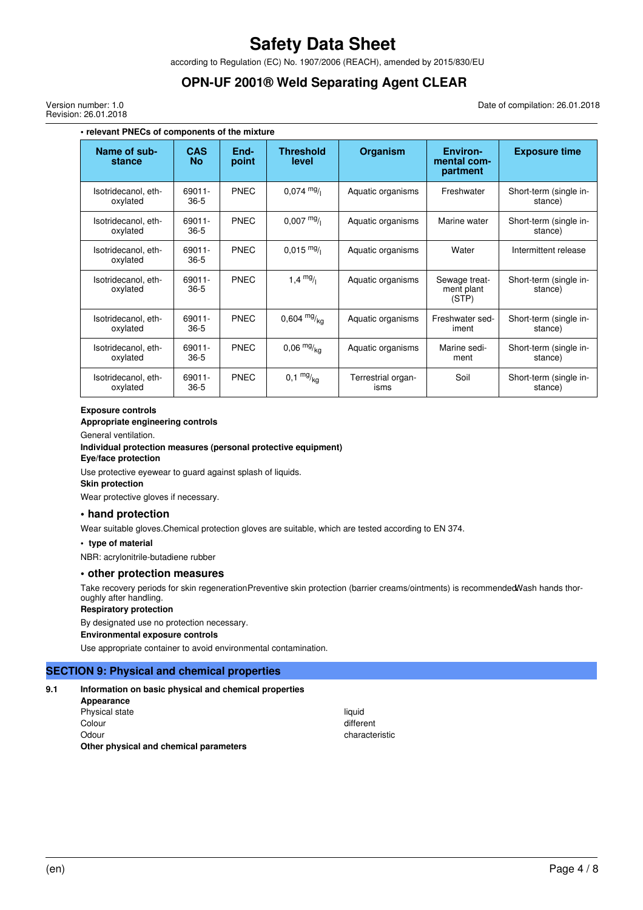according to Regulation (EC) No. 1907/2006 (REACH), amended by 2015/830/EU

## **OPN-UF 2001® Weld Separating Agent CLEAR**

Version number: 1.0 Revision: 26.01.2018 Date of compilation: 26.01.2018

| • relevant PNECs of components of the mixture |                         |               |                           |                            |                                            |                                   |  |  |
|-----------------------------------------------|-------------------------|---------------|---------------------------|----------------------------|--------------------------------------------|-----------------------------------|--|--|
| Name of sub-<br>stance                        | <b>CAS</b><br><b>No</b> | End-<br>point | <b>Threshold</b><br>level | Organism                   | <b>Environ-</b><br>mental com-<br>partment | <b>Exposure time</b>              |  |  |
| Isotridecanol, eth-<br>oxylated               | 69011-<br>$36-5$        | PNEC          | $0,074 \frac{mg}{l}$      | Aquatic organisms          | Freshwater                                 | Short-term (single in-<br>stance) |  |  |
| Isotridecanol, eth-<br>oxylated               | 69011-<br>$36-5$        | <b>PNEC</b>   | $0.007 \frac{mg}{l}$      | Aquatic organisms          | Marine water                               | Short-term (single in-<br>stance) |  |  |
| Isotridecanol, eth-<br>oxylated               | 69011-<br>$36-5$        | <b>PNEC</b>   | $0,015 \frac{mg}{l}$      | Aquatic organisms          | Water                                      | Intermittent release              |  |  |
| Isotridecanol, eth-<br>oxylated               | 69011-<br>$36-5$        | PNEC          | 1,4 $mg/1$                | Aquatic organisms          | Sewage treat-<br>ment plant<br>(STP)       | Short-term (single in-<br>stance) |  |  |
| Isotridecanol. eth-<br>oxylated               | 69011-<br>$36-5$        | PNEC          | $0,604 \frac{mg}{ka}$     | Aquatic organisms          | Freshwater sed-<br>iment                   | Short-term (single in-<br>stance) |  |  |
| Isotridecanol, eth-<br>oxylated               | 69011-<br>$36-5$        | PNEC          | $0,06 \frac{mg}{kg}$      | Aquatic organisms          | Marine sedi-<br>ment                       | Short-term (single in-<br>stance) |  |  |
| Isotridecanol, eth-<br>oxylated               | 69011-<br>$36 - 5$      | <b>PNEC</b>   | $0,1 \frac{mg}{ka}$       | Terrestrial organ-<br>isms | Soil                                       | Short-term (single in-<br>stance) |  |  |

#### **Exposure controls**

#### **Appropriate engineering controls**

General ventilation.

#### **Individual protection measures (personal protective equipment)**

#### **Eye/face protection**

Use protective eyewear to guard against splash of liquids.

#### **Skin protection**

Wear protective gloves if necessary.

#### **• hand protection**

Wear suitable gloves. Chemical protection gloves are suitable, which are tested according to EN 374.

#### **• type of material**

NBR: acrylonitrile-butadiene rubber

#### **• other protection measures**

Take recovery periods for skin regenerationPreventive skin protection (barrier creams/ointments) is recommended Wash hands thoroughly after handling.

## **Respiratory protection**

By designated use no protection necessary.

**Environmental exposure controls**

Use appropriate container to avoid environmental contamination.

#### **SECTION 9: Physical and chemical properties**

#### **9.1 Information on basic physical and chemical properties**

| Appearance                             |           |
|----------------------------------------|-----------|
| Physical state                         | liauid    |
| Colour                                 | different |
| Odour                                  | characte  |
| Other physical and chemical parameters |           |

characteristic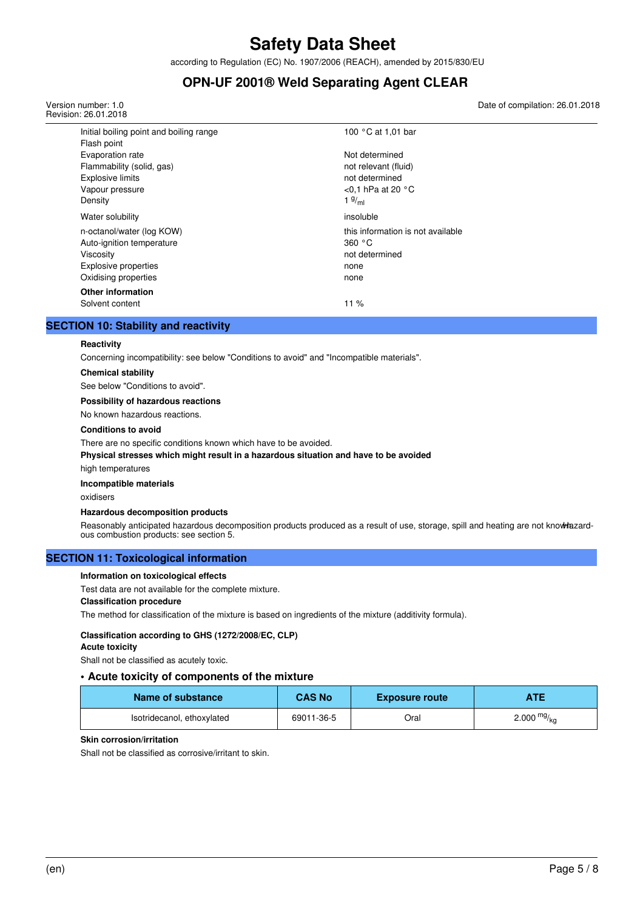according to Regulation (EC) No. 1907/2006 (REACH), amended by 2015/830/EU

## **OPN-UF 2001® Weld Separating Agent CLEAR**

Version number: 1.0 Revision: 26.01.2018 Date of compilation: 26.01.2018

| Initial boiling point and boiling range<br>Flash point                                                                     | 100 °C at 1,01 bar                                                                                            |
|----------------------------------------------------------------------------------------------------------------------------|---------------------------------------------------------------------------------------------------------------|
| Evaporation rate<br>Flammability (solid, gas)<br><b>Explosive limits</b><br>Vapour pressure<br>Density                     | Not determined<br>not relevant (fluid)<br>not determined<br>$<$ 0,1 hPa at 20 $^{\circ}$ C<br>$1 \frac{g}{m}$ |
| Water solubility                                                                                                           | insoluble                                                                                                     |
| n-octanol/water (log KOW)<br>Auto-ignition temperature<br>Viscosity<br><b>Explosive properties</b><br>Oxidising properties | this information is not available<br>360 °C<br>not determined<br>none<br>none                                 |
| <b>Other information</b><br>Solvent content                                                                                | 11%                                                                                                           |

## **SECTION 10: Stability and reactivity**

#### **Reactivity**

Concerning incompatibility: see below "Conditions to avoid" and "Incompatible materials".

## **Chemical stability**

See below "Conditions to avoid".

#### **Possibility of hazardous reactions**

No known hazardous reactions.

#### **Conditions to avoid**

There are no specific conditions known which have to be avoided.

#### **Physical stresses which might result in a hazardous situation and have to be avoided**

high temperatures

#### **Incompatible materials**

oxidisers

#### **Hazardous decomposition products**

Reasonably anticipated hazardous decomposition products produced as a result of use, storage, spill and heating are not knowhazardous combustion products: see section 5.

#### **SECTION 11: Toxicological information**

#### **Information on toxicological effects**

Test data are not available for the complete mixture.

#### **Classification procedure**

The method for classification of the mixture is based on ingredients of the mixture (additivity formula).

## **Classification according to GHS (1272/2008/EC, CLP)**

**Acute toxicity**

Shall not be classified as acutely toxic.

#### **• Acute toxicity of components of the mixture**

| Name of substance          | <b>CAS No</b> | <b>Exposure route</b> | ATE           |
|----------------------------|---------------|-----------------------|---------------|
| Isotridecanol, ethoxylated | 69011-36-5    | Oral                  | 2.000 $mg/kq$ |

#### **Skin corrosion/irritation**

Shall not be classified as corrosive/irritant to skin.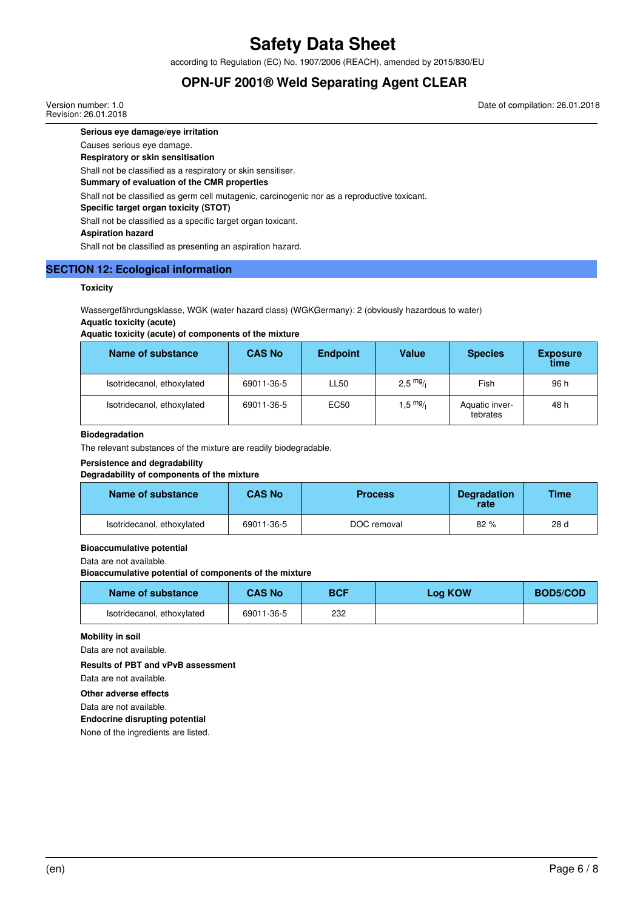according to Regulation (EC) No. 1907/2006 (REACH), amended by 2015/830/EU

## **OPN-UF 2001® Weld Separating Agent CLEAR**

Version number: 1.0 Revision: 26.01.2018 Date of compilation: 26.01.2018

**Serious eye damage/eye irritation**

Causes serious eye damage.

**Respiratory or skin sensitisation**

Shall not be classified as a respiratory or skin sensitiser.

**Summary of evaluation of the CMR properties**

Shall not be classified as germ cell mutagenic, carcinogenic nor as a reproductive toxicant.

**Specific target organ toxicity (STOT)**

Shall not be classified as a specific target organ toxicant.

**Aspiration hazard**

Shall not be classified as presenting an aspiration hazard.

## **SECTION 12: Ecological information**

#### **Toxicity**

Wassergefährdungsklasse, WGK (water hazard class) (WGKGermany): 2 (obviously hazardous to water) **Aquatic toxicity (acute)**

## **Aquatic toxicity (acute) of components of the mixture**

| Name of substance          | <b>CAS No</b> | <b>Endpoint</b>  | Value              | <b>Species</b>             | <b>Exposure</b><br>time |
|----------------------------|---------------|------------------|--------------------|----------------------------|-------------------------|
| Isotridecanol, ethoxylated | 69011-36-5    | LL <sub>50</sub> | $2,5 \frac{mg}{l}$ | Fish                       | 96 h                    |
| Isotridecanol, ethoxylated | 69011-36-5    | EC50             | $1,5 \frac{mg}{l}$ | Aquatic inver-<br>tebrates | 48 h                    |

#### **Biodegradation**

The relevant substances of the mixture are readily biodegradable.

#### **Persistence and degradability**

#### **Degradability of components of the mixture**

| <b>CAS No</b><br>Name of substance |            | <b>Process</b> | <b>Degradation</b><br>rate | Time |
|------------------------------------|------------|----------------|----------------------------|------|
| Isotridecanol, ethoxylated         | 69011-36-5 | DOC removal    | 82%                        | 28 d |

#### **Bioaccumulative potential**

Data are not available.

#### **Bioaccumulative potential of components of the mixture**

| Name of substance          | <b>CAS No</b> | <b>BCF</b> | <b>Log KOW</b> | <b>BOD5/COD</b> |
|----------------------------|---------------|------------|----------------|-----------------|
| Isotridecanol, ethoxylated | 69011-36-5    | 232        |                |                 |

#### **Mobility in soil**

Data are not available.

#### **Results of PBT and vPvB assessment**

Data are not available.

## **Other adverse effects**

Data are not available.

**Endocrine disrupting potential**

None of the ingredients are listed.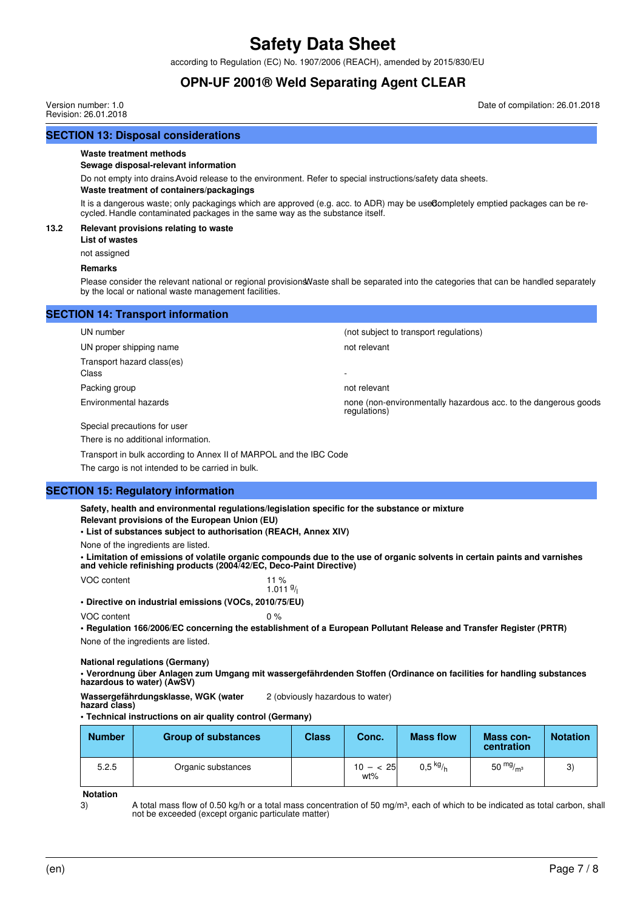according to Regulation (EC) No. 1907/2006 (REACH), amended by 2015/830/EU

## **OPN-UF 2001® Weld Separating Agent CLEAR**

Version number: 1.0 Revision: 26.01.2018 Date of compilation: 26.01.2018

## **SECTION 13: Disposal considerations**

#### **Waste treatment methods**

#### **Sewage disposal-relevant information**

Do not empty into drains. Avoid release to the environment. Refer to special instructions/safety data sheets.

#### **Waste treatment of containers/packagings**

It is a dangerous waste; only packagings which are approved (e.g. acc. to ADR) may be used ompletely emptied packages can be recycled. Handle contaminated packages in the same way as the substance itself.

#### **13.2 Relevant provisions relating to waste**

**List of wastes**

not assigned

#### **Remarks**

Please consider the relevant national or regional provisions. Waste shall be separated into the categories that can be handled separately by the local or national waste management facilities.

### **SECTION 14: Transport information**

UN proper shipping name not relevant Transport hazard class(es) Class - Packing group not relevant

UN number (not subject to transport regulations)

Environmental hazards none (non-environmentally hazardous acc. to the dangerous goods regulations)

Special precautions for user

There is no additional information.

Transport in bulk according to Annex II of MARPOL and the IBC Code

The cargo is not intended to be carried in bulk.

#### **SECTION 15: Regulatory information**

**Safety, health and environmental regulations/legislation specific for the substance or mixture Relevant provisions of the European Union (EU)**

**• List of substances subject to authorisation (REACH, Annex XIV)**

None of the ingredients are listed.

**• Limitation of emissions of volatile organic compounds due to the use of organic solvents in certain paints and varnishes and vehicle refinishing products (2004/42/EC, Deco-Paint Directive)**

VOC content 11 % 1.011 $9/$ **• Directive on industrial emissions (VOCs, 2010/75/EU)**

VOC content 0 %

**• Regulation 166/2006/EC concerning the establishment of a European Pollutant Release and Transfer Register (PRTR)** None of the ingredients are listed.

#### **National regulations (Germany)**

**• Verordnung über Anlagen zum Umgang mit wassergefährdenden Stoffen (Ordinance on facilities for handling substances hazardous to water) (AwSV)**

**Wassergefährdungsklasse, WGK (water hazard class)** 2 (obviously hazardous to water)

#### **• Technical instructions on air quality control (Germany)**

| <b>Number</b> | <b>Group of substances</b> | <b>Class</b> | Conc.              | <b>Mass flow</b> | Mass con-<br>centration | <b>Notation</b> |
|---------------|----------------------------|--------------|--------------------|------------------|-------------------------|-----------------|
| 5.2.5         | Organic substances         |              | $10 - < 25$<br>wt% | $0,5$ kg/h       | 50 $mg/m3$              | 3)              |

**Notation**

3) A total mass flow of 0.50 kg/h or a total mass concentration of 50 mg/m<sup>3</sup>, each of which to be indicated as total carbon, shall not be exceeded (except organic particulate matter)